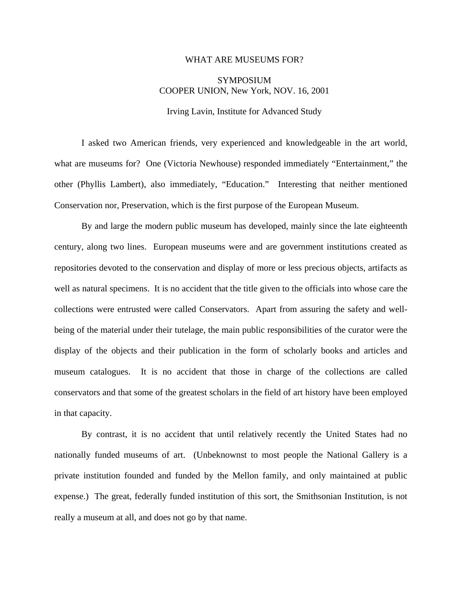## WHAT ARE MUSEUMS FOR?

## **SYMPOSIUM** COOPER UNION, New York, NOV. 16, 2001

Irving Lavin, Institute for Advanced Study

I asked two American friends, very experienced and knowledgeable in the art world, what are museums for? One (Victoria Newhouse) responded immediately "Entertainment," the other (Phyllis Lambert), also immediately, "Education." Interesting that neither mentioned Conservation nor, Preservation, which is the first purpose of the European Museum.

By and large the modern public museum has developed, mainly since the late eighteenth century, along two lines. European museums were and are government institutions created as repositories devoted to the conservation and display of more or less precious objects, artifacts as well as natural specimens. It is no accident that the title given to the officials into whose care the collections were entrusted were called Conservators. Apart from assuring the safety and wellbeing of the material under their tutelage, the main public responsibilities of the curator were the display of the objects and their publication in the form of scholarly books and articles and museum catalogues. It is no accident that those in charge of the collections are called conservators and that some of the greatest scholars in the field of art history have been employed in that capacity.

 By contrast, it is no accident that until relatively recently the United States had no nationally funded museums of art. (Unbeknownst to most people the National Gallery is a private institution founded and funded by the Mellon family, and only maintained at public expense.) The great, federally funded institution of this sort, the Smithsonian Institution, is not really a museum at all, and does not go by that name.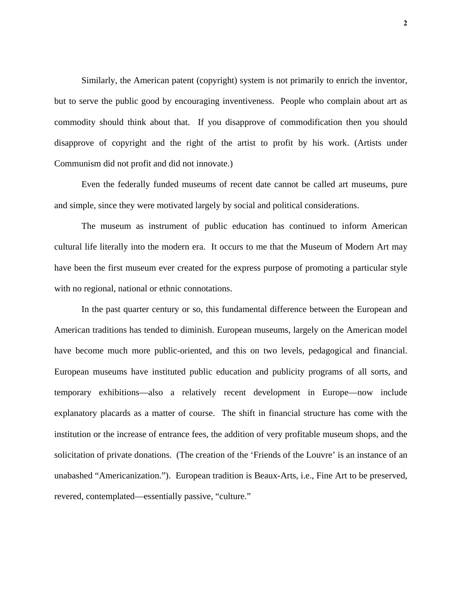Similarly, the American patent (copyright) system is not primarily to enrich the inventor, but to serve the public good by encouraging inventiveness. People who complain about art as commodity should think about that. If you disapprove of commodification then you should disapprove of copyright and the right of the artist to profit by his work. (Artists under Communism did not profit and did not innovate.)

Even the federally funded museums of recent date cannot be called art museums, pure and simple, since they were motivated largely by social and political considerations.

The museum as instrument of public education has continued to inform American cultural life literally into the modern era. It occurs to me that the Museum of Modern Art may have been the first museum ever created for the express purpose of promoting a particular style with no regional, national or ethnic connotations.

In the past quarter century or so, this fundamental difference between the European and American traditions has tended to diminish. European museums, largely on the American model have become much more public-oriented, and this on two levels, pedagogical and financial. European museums have instituted public education and publicity programs of all sorts, and temporary exhibitions—also a relatively recent development in Europe—now include explanatory placards as a matter of course. The shift in financial structure has come with the institution or the increase of entrance fees, the addition of very profitable museum shops, and the solicitation of private donations. (The creation of the 'Friends of the Louvre' is an instance of an unabashed "Americanization."). European tradition is Beaux-Arts, i.e., Fine Art to be preserved, revered, contemplated—essentially passive, "culture."